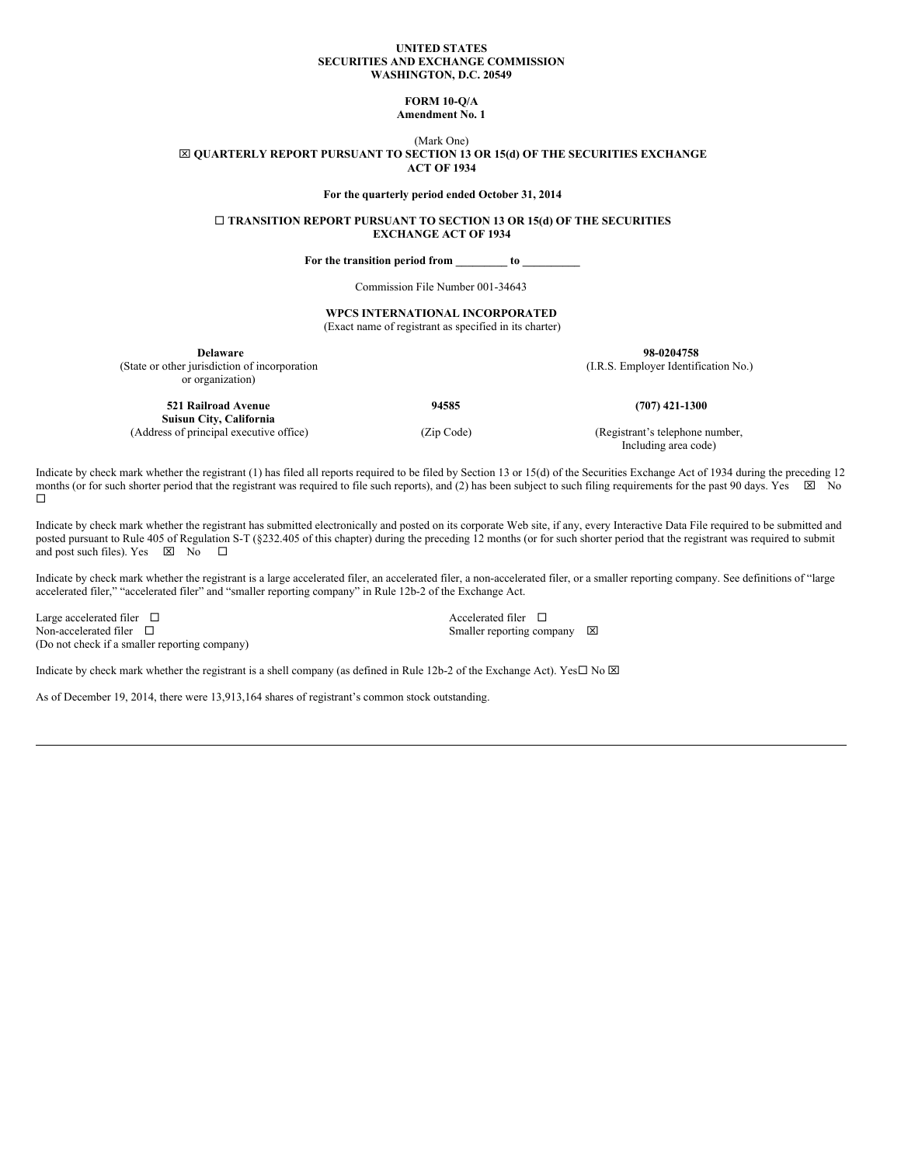### **UNITED STATES SECURITIES AND EXCHANGE COMMISSION WASHINGTON, D.C. 20549**

## **FORM 10-Q/A Amendment No. 1**

### (Mark One) x **QUARTERLY REPORT PURSUANT TO SECTION 13 OR 15(d) OF THE SECURITIES EXCHANGE ACT OF 1934**

**For the quarterly period ended October 31, 2014**

### ¨ **TRANSITION REPORT PURSUANT TO SECTION 13 OR 15(d) OF THE SECURITIES EXCHANGE ACT OF 1934**

**For the transition period from \_\_\_\_\_\_\_\_\_ to \_\_\_\_\_\_\_\_\_\_**

Commission File Number 001-34643

**WPCS INTERNATIONAL INCORPORATED** (Exact name of registrant as specified in its charter)

(State or other jurisdiction of incorporation or organization)

**Delaware 98-0204758** (I.R.S. Employer Identification No.)

| 521 Railroad Avenue<br>Suisun City, California | 94585      | $(707)$ 421-1300                                        |
|------------------------------------------------|------------|---------------------------------------------------------|
| (Address of principal executive office)        | (Zip Code) | (Registrant's telephone number,<br>Including area code) |

Indicate by check mark whether the registrant (1) has filed all reports required to be filed by Section 13 or 15(d) of the Securities Exchange Act of 1934 during the preceding 12 months (or for such shorter period that the registrant was required to file such reports), and (2) has been subject to such filing requirements for the past 90 days. Yes  $\boxtimes$  No  $\Box$ 

Indicate by check mark whether the registrant has submitted electronically and posted on its corporate Web site, if any, every Interactive Data File required to be submitted and posted pursuant to Rule 405 of Regulation S-T (§232.405 of this chapter) during the preceding 12 months (or for such shorter period that the registrant was required to submit and post such files). Yes  $\boxtimes$  No  $\Box$ 

Indicate by check mark whether the registrant is a large accelerated filer, an accelerated filer, a non-accelerated filer, or a smaller reporting company. See definitions of "large accelerated filer," "accelerated filer" and "smaller reporting company" in Rule 12b-2 of the Exchange Act.

Large accelerated filer  $\Box$ Non-accelerated filer □ smaller reporting company ⊠ (Do not check if a smaller reporting company)

Indicate by check mark whether the registrant is a shell company (as defined in Rule 12b-2 of the Exchange Act). Yes $\Box$  No  $\boxtimes$ 

As of December 19, 2014, there were 13,913,164 shares of registrant's common stock outstanding.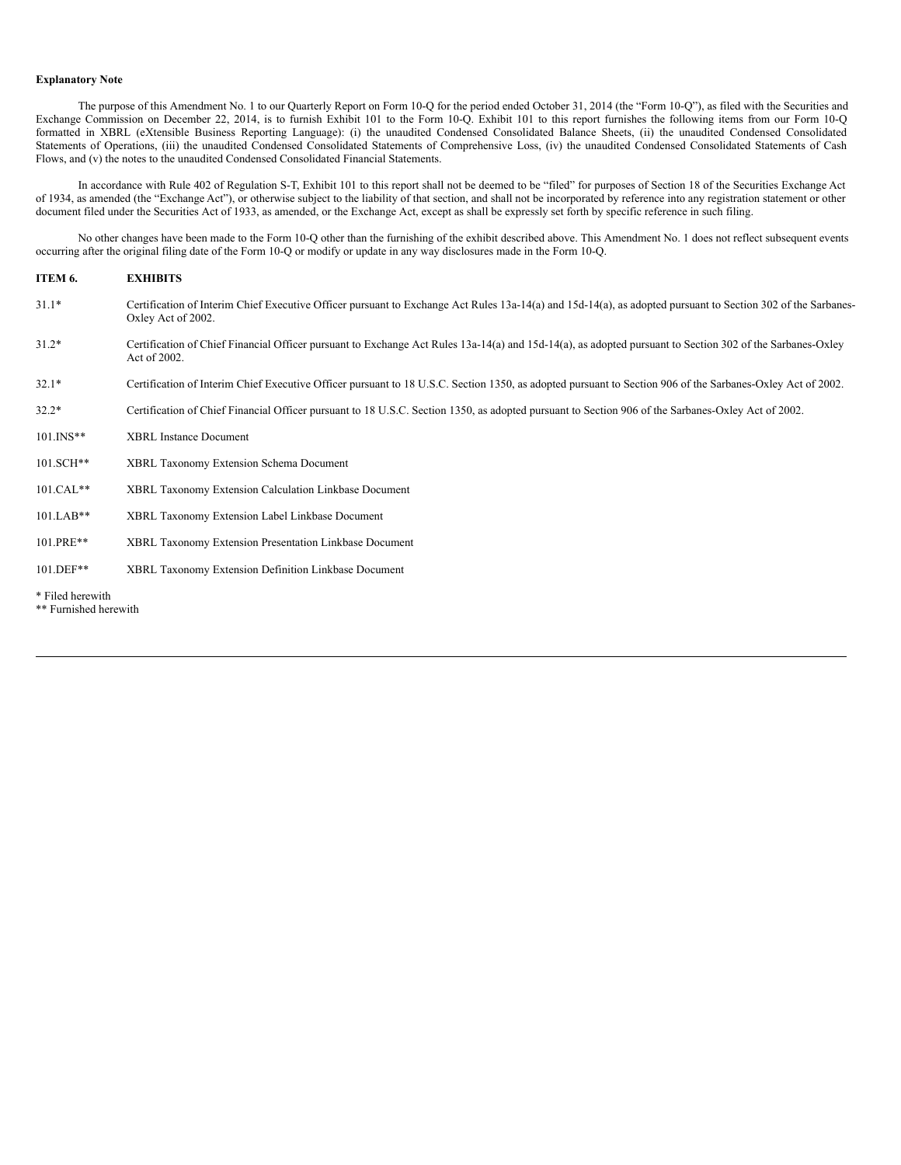### **Explanatory Note**

The purpose of this Amendment No. 1 to our Quarterly Report on Form 10-Q for the period ended October 31, 2014 (the "Form 10-Q"), as filed with the Securities and Exchange Commission on December 22, 2014, is to furnish Exhibit 101 to the Form 10-Q. Exhibit 101 to this report furnishes the following items from our Form 10-Q formatted in XBRL (eXtensible Business Reporting Language): (i) the unaudited Condensed Consolidated Balance Sheets, (ii) the unaudited Condensed Consolidated Statements of Operations, (iii) the unaudited Condensed Consolidated Statements of Comprehensive Loss, (iv) the unaudited Condensed Consolidated Statements of Cash Flows, and (v) the notes to the unaudited Condensed Consolidated Financial Statements.

In accordance with Rule 402 of Regulation S-T, Exhibit 101 to this report shall not be deemed to be "filed" for purposes of Section 18 of the Securities Exchange Act of 1934, as amended (the "Exchange Act"), or otherwise subject to the liability of that section, and shall not be incorporated by reference into any registration statement or other document filed under the Securities Act of 1933, as amended, or the Exchange Act, except as shall be expressly set forth by specific reference in such filing.

No other changes have been made to the Form 10-Q other than the furnishing of the exhibit described above. This Amendment No. 1 does not reflect subsequent events occurring after the original filing date of the Form 10-Q or modify or update in any way disclosures made in the Form 10-Q.

| ITEM 6.          | <b>EXHIBITS</b>                                                                                                                                                                    |
|------------------|------------------------------------------------------------------------------------------------------------------------------------------------------------------------------------|
| $31.1*$          | Certification of Interim Chief Executive Officer pursuant to Exchange Act Rules 13a-14(a) and 15d-14(a), as adopted pursuant to Section 302 of the Sarbanes-<br>Oxley Act of 2002. |
| $31.2*$          | Certification of Chief Financial Officer pursuant to Exchange Act Rules 13a-14(a) and 15d-14(a), as adopted pursuant to Section 302 of the Sarbanes-Oxley<br>Act of 2002.          |
| $32.1*$          | Certification of Interim Chief Executive Officer pursuant to 18 U.S.C. Section 1350, as adopted pursuant to Section 906 of the Sarbanes-Oxley Act of 2002.                         |
| $32.2*$          | Certification of Chief Financial Officer pursuant to 18 U.S.C. Section 1350, as adopted pursuant to Section 906 of the Sarbanes-Oxley Act of 2002.                                 |
| 101.INS**        | <b>XBRL Instance Document</b>                                                                                                                                                      |
| $101.SCH***$     | XBRL Taxonomy Extension Schema Document                                                                                                                                            |
| $101.CAL**$      | XBRL Taxonomy Extension Calculation Linkbase Document                                                                                                                              |
| $101.LAB**$      | XBRL Taxonomy Extension Label Linkbase Document                                                                                                                                    |
| 101.PRE**        | XBRL Taxonomy Extension Presentation Linkbase Document                                                                                                                             |
| 101.DEF**        | XBRL Taxonomy Extension Definition Linkbase Document                                                                                                                               |
| * Filed herewith |                                                                                                                                                                                    |

\*\* Furnished herewith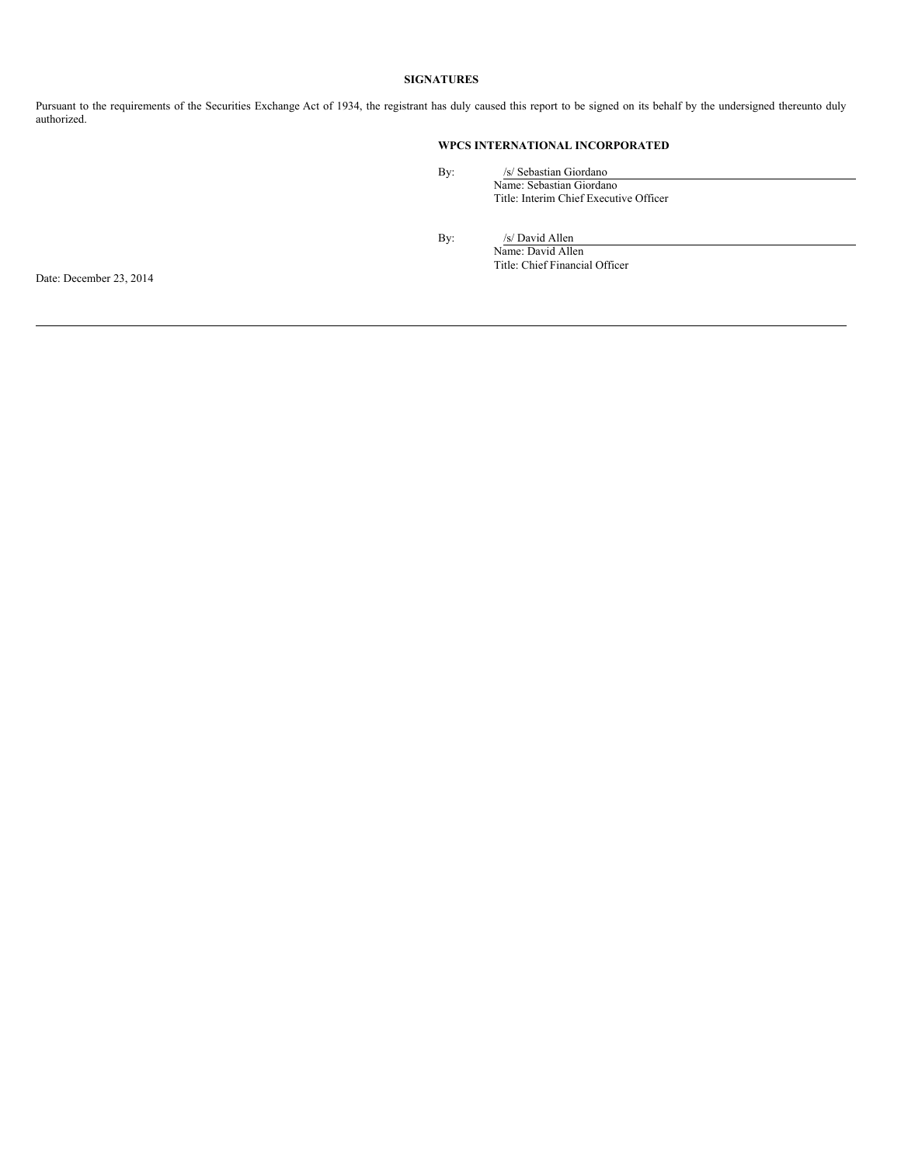# **SIGNATURES**

Pursuant to the requirements of the Securities Exchange Act of 1934, the registrant has duly caused this report to be signed on its behalf by the undersigned thereunto duly authorized.

# **WPCS INTERNATIONAL INCORPORATED**

By: /s/ Sebastian Giordano Name: Sebastian Giordano Title: Interim Chief Executive Officer

By: /s/ David Allen

Name: David Allen Title: Chief Financial Officer

Date: December 23, 2014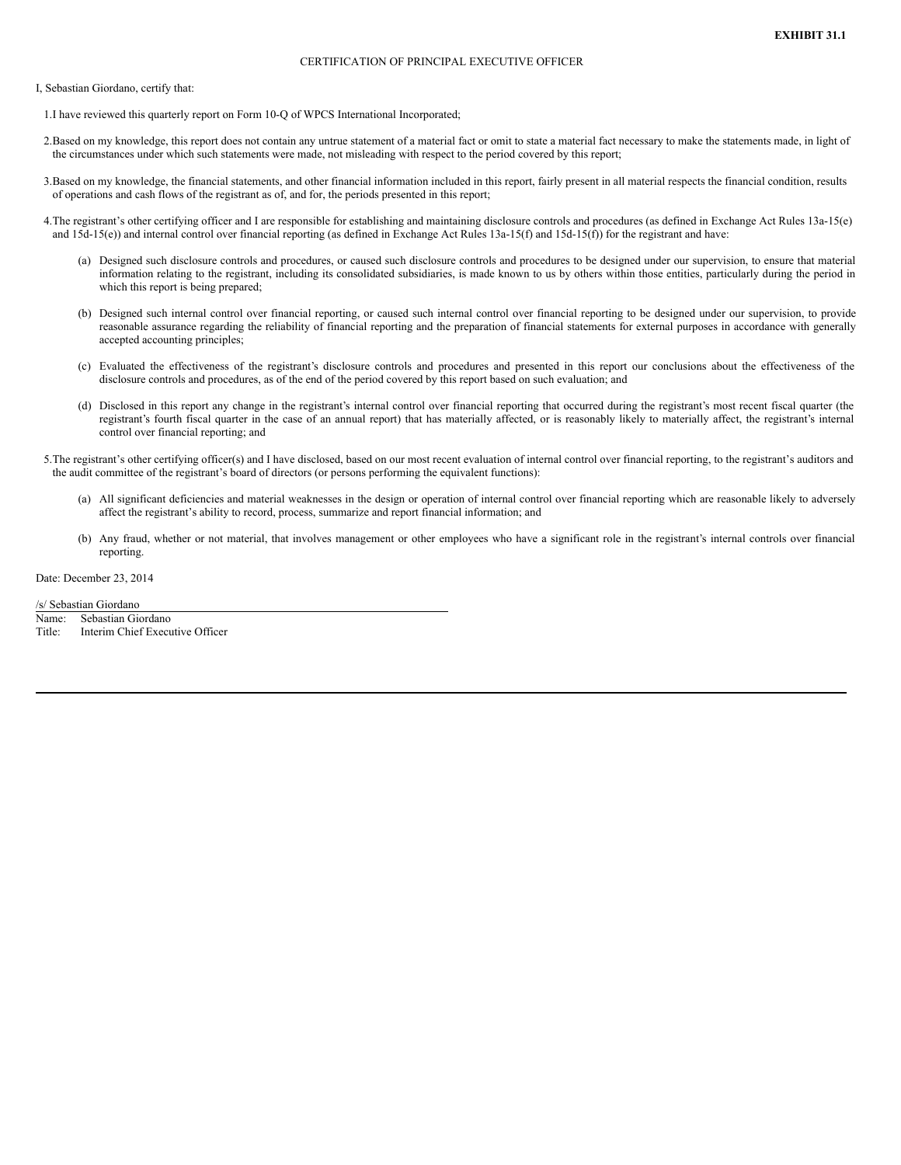## CERTIFICATION OF PRINCIPAL EXECUTIVE OFFICER

I, Sebastian Giordano, certify that:

1.I have reviewed this quarterly report on Form 10-Q of WPCS International Incorporated;

- 2.Based on my knowledge, this report does not contain any untrue statement of a material fact or omit to state a material fact necessary to make the statements made, in light of the circumstances under which such statements were made, not misleading with respect to the period covered by this report;
- 3.Based on my knowledge, the financial statements, and other financial information included in this report, fairly present in all material respects the financial condition, results of operations and cash flows of the registrant as of, and for, the periods presented in this report;
- 4.The registrant's other certifying officer and I are responsible for establishing and maintaining disclosure controls and procedures (as defined in Exchange Act Rules 13a-15(e) and 15d-15(e)) and internal control over financial reporting (as defined in Exchange Act Rules 13a-15(f) and 15d-15(f)) for the registrant and have:
	- (a) Designed such disclosure controls and procedures, or caused such disclosure controls and procedures to be designed under our supervision, to ensure that material information relating to the registrant, including its consolidated subsidiaries, is made known to us by others within those entities, particularly during the period in which this report is being prepared;
	- (b) Designed such internal control over financial reporting, or caused such internal control over financial reporting to be designed under our supervision, to provide reasonable assurance regarding the reliability of financial reporting and the preparation of financial statements for external purposes in accordance with generally accepted accounting principles;
	- (c) Evaluated the effectiveness of the registrant's disclosure controls and procedures and presented in this report our conclusions about the effectiveness of the disclosure controls and procedures, as of the end of the period covered by this report based on such evaluation; and
	- (d) Disclosed in this report any change in the registrant's internal control over financial reporting that occurred during the registrant's most recent fiscal quarter (the registrant's fourth fiscal quarter in the case of an annual report) that has materially affected, or is reasonably likely to materially affect, the registrant's internal control over financial reporting; and
- 5.The registrant's other certifying officer(s) and I have disclosed, based on our most recent evaluation of internal control over financial reporting, to the registrant's auditors and the audit committee of the registrant's board of directors (or persons performing the equivalent functions):
	- (a) All significant deficiencies and material weaknesses in the design or operation of internal control over financial reporting which are reasonable likely to adversely affect the registrant's ability to record, process, summarize and report financial information; and
	- (b) Any fraud, whether or not material, that involves management or other employees who have a significant role in the registrant's internal controls over financial reporting.

Date: December 23, 2014

/s/ Sebastian Giordano Name: Sebastian Giordano

Title: Interim Chief Executive Officer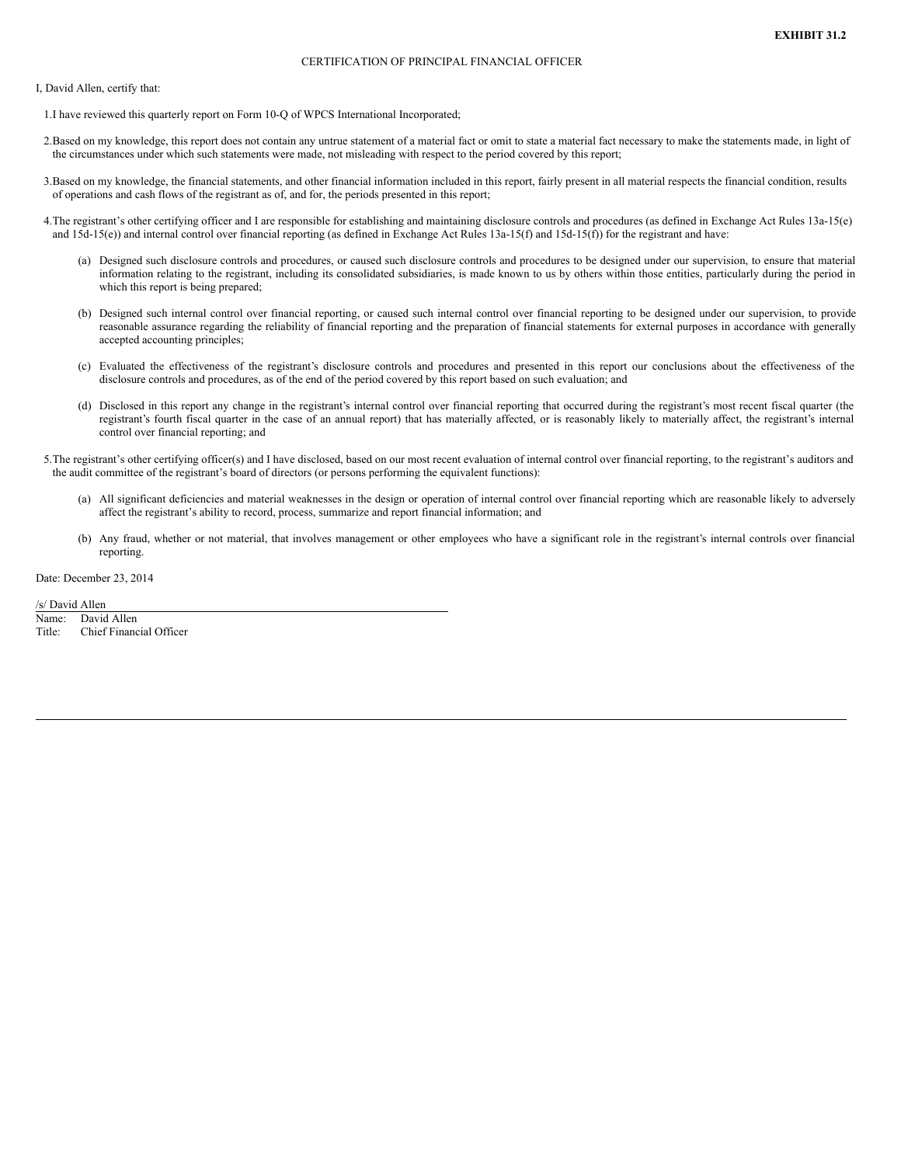I, David Allen, certify that:

1.I have reviewed this quarterly report on Form 10-Q of WPCS International Incorporated;

- 2.Based on my knowledge, this report does not contain any untrue statement of a material fact or omit to state a material fact necessary to make the statements made, in light of the circumstances under which such statements were made, not misleading with respect to the period covered by this report;
- 3.Based on my knowledge, the financial statements, and other financial information included in this report, fairly present in all material respects the financial condition, results of operations and cash flows of the registrant as of, and for, the periods presented in this report;
- 4.The registrant's other certifying officer and I are responsible for establishing and maintaining disclosure controls and procedures (as defined in Exchange Act Rules 13a-15(e) and 15d-15(e)) and internal control over financial reporting (as defined in Exchange Act Rules 13a-15(f) and 15d-15(f)) for the registrant and have:
	- (a) Designed such disclosure controls and procedures, or caused such disclosure controls and procedures to be designed under our supervision, to ensure that material information relating to the registrant, including its consolidated subsidiaries, is made known to us by others within those entities, particularly during the period in which this report is being prepared;
	- (b) Designed such internal control over financial reporting, or caused such internal control over financial reporting to be designed under our supervision, to provide reasonable assurance regarding the reliability of financial reporting and the preparation of financial statements for external purposes in accordance with generally accepted accounting principles;
	- (c) Evaluated the effectiveness of the registrant's disclosure controls and procedures and presented in this report our conclusions about the effectiveness of the disclosure controls and procedures, as of the end of the period covered by this report based on such evaluation; and
	- (d) Disclosed in this report any change in the registrant's internal control over financial reporting that occurred during the registrant's most recent fiscal quarter (the registrant's fourth fiscal quarter in the case of an annual report) that has materially affected, or is reasonably likely to materially affect, the registrant's internal control over financial reporting; and
- 5.The registrant's other certifying officer(s) and I have disclosed, based on our most recent evaluation of internal control over financial reporting, to the registrant's auditors and the audit committee of the registrant's board of directors (or persons performing the equivalent functions):
	- (a) All significant deficiencies and material weaknesses in the design or operation of internal control over financial reporting which are reasonable likely to adversely affect the registrant's ability to record, process, summarize and report financial information; and
	- (b) Any fraud, whether or not material, that involves management or other employees who have a significant role in the registrant's internal controls over financial reporting.

Date: December 23, 2014

/s/ David Allen Name: David Allen Title: Chief Financial Officer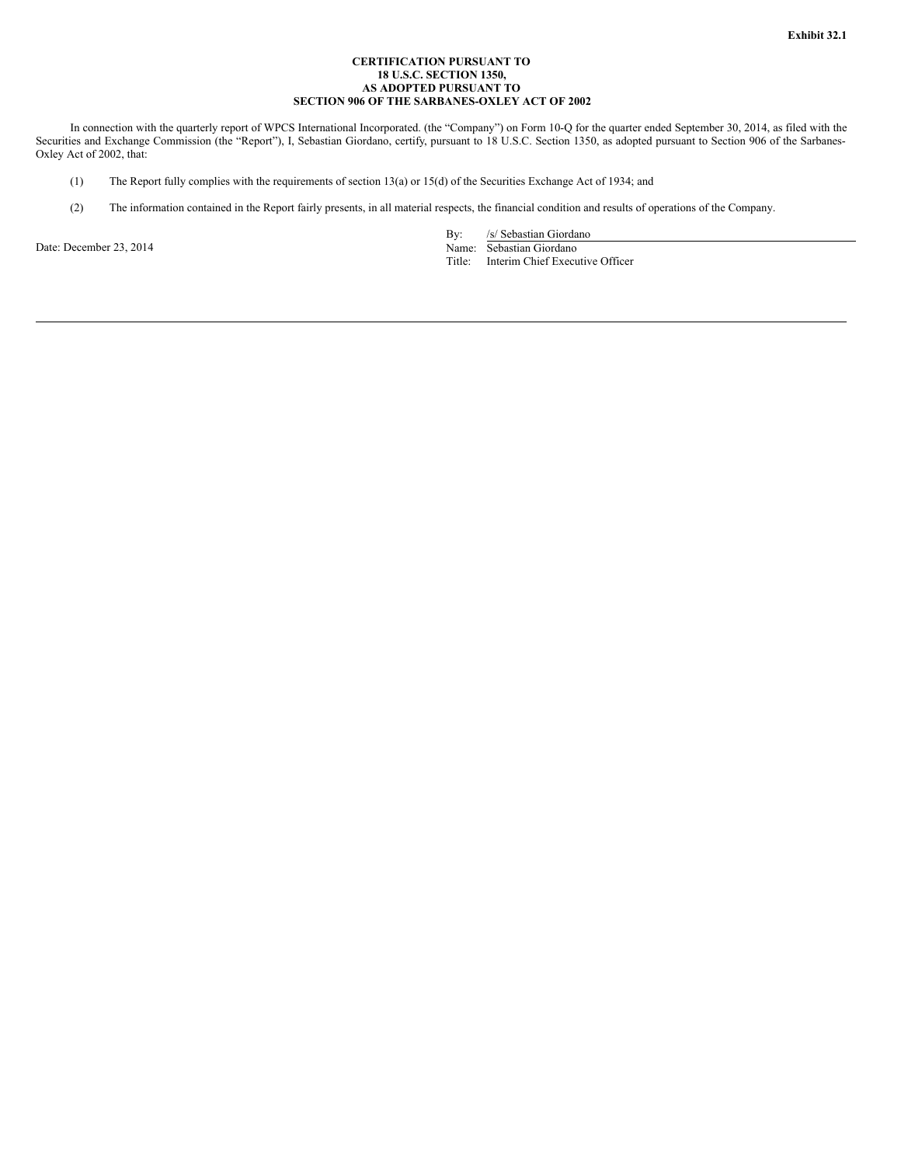### **CERTIFICATION PURSUANT TO 18 U.S.C. SECTION 1350, AS ADOPTED PURSUANT TO SECTION 906 OF THE SARBANES-OXLEY ACT OF 2002**

In connection with the quarterly report of WPCS International Incorporated. (the "Company") on Form 10-Q for the quarter ended September 30, 2014, as filed with the Securities and Exchange Commission (the "Report"), I, Sebastian Giordano, certify, pursuant to 18 U.S.C. Section 1350, as adopted pursuant to Section 906 of the Sarbanes-Oxley Act of 2002, that:

- (1) The Report fully complies with the requirements of section 13(a) or 15(d) of the Securities Exchange Act of 1934; and
- (2) The information contained in the Report fairly presents, in all material respects, the financial condition and results of operations of the Company.

By: /s/ Sebastian Giordano Date: December 23, 2014 **Name:** Sebastian Giordano Title: Interim Chief Executive Officer